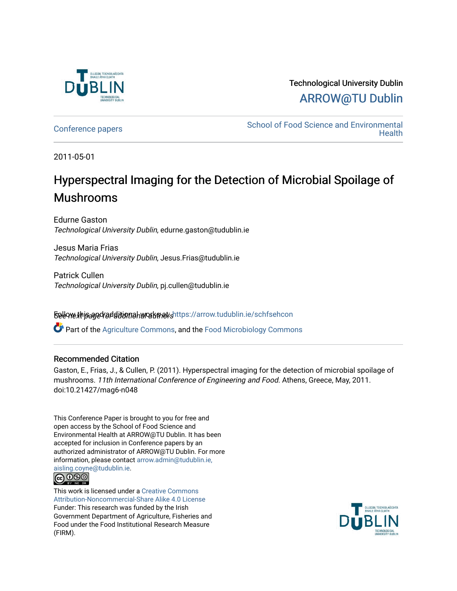

# Technological University Dublin [ARROW@TU Dublin](https://arrow.tudublin.ie/)

[Conference papers](https://arrow.tudublin.ie/schfsehcon) [School of Food Science and Environmental](https://arrow.tudublin.ie/schfseh)  **Health** 

2011-05-01

# Hyperspectral Imaging for the Detection of Microbial Spoilage of Mushrooms

Edurne Gaston Technological University Dublin, edurne.gaston@tudublin.ie

Jesus Maria Frias Technological University Dublin, Jesus.Frias@tudublin.ie

Patrick Cullen Technological University Dublin, pj.cullen@tudublin.ie

Sellow this and follow and all and and additional and additional works and additional selection

Part of the [Agriculture Commons](http://network.bepress.com/hgg/discipline/1076?utm_source=arrow.tudublin.ie%2Fschfsehcon%2F2&utm_medium=PDF&utm_campaign=PDFCoverPages), and the [Food Microbiology Commons](http://network.bepress.com/hgg/discipline/86?utm_source=arrow.tudublin.ie%2Fschfsehcon%2F2&utm_medium=PDF&utm_campaign=PDFCoverPages) 

## Recommended Citation

Gaston, E., Frias, J., & Cullen, P. (2011). Hyperspectral imaging for the detection of microbial spoilage of mushrooms. 11th International Conference of Engineering and Food. Athens, Greece, May, 2011. doi:10.21427/mag6-n048

This Conference Paper is brought to you for free and open access by the School of Food Science and Environmental Health at ARROW@TU Dublin. It has been accepted for inclusion in Conference papers by an authorized administrator of ARROW@TU Dublin. For more information, please contact [arrow.admin@tudublin.ie,](mailto:arrow.admin@tudublin.ie,%20aisling.coyne@tudublin.ie) 



This work is licensed under a [Creative Commons](http://creativecommons.org/licenses/by-nc-sa/4.0/) [Attribution-Noncommercial-Share Alike 4.0 License](http://creativecommons.org/licenses/by-nc-sa/4.0/) Funder: This research was funded by the Irish Government Department of Agriculture, Fisheries and Food under the Food Institutional Research Measure (FIRM).

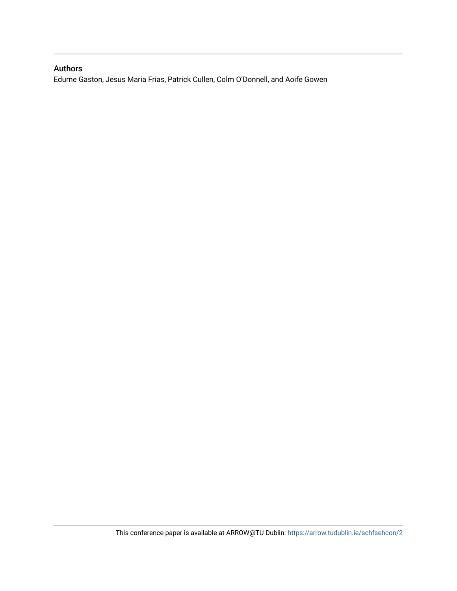# Authors

Edurne Gaston, Jesus Maria Frias, Patrick Cullen, Colm O'Donnell, and Aoife Gowen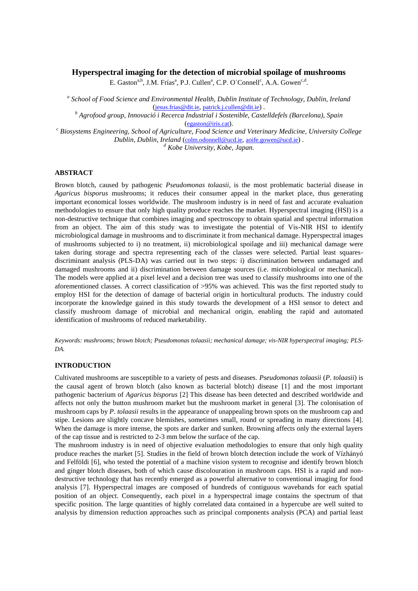### **Hyperspectral imaging for the detection of microbial spoilage of mushrooms**

E. Gaston<sup>a,b</sup>, J.M. Frías<sup>a</sup>, P.J. Cullen<sup>a</sup>, C.P. O´Connell<sup>c</sup>, A.A. Gowen<sup>c,d</sup>.

*a School of Food Science and Environmental Health, Dublin Institute of Technology, Dublin, Ireland* ([jesus.frias@dit.ie](mailto:jesus.frias@dit.ie), [patrick.j.cullen@dit.ie](mailto:patrick.j.cullen@dit.ie)) *.*

*<sup>b</sup> Agrofood group, Innovació i Recerca Industrial i Sostenible, Castelldefels (Barcelona), Spain* ([egaston@iris.cat](mailto:egaston@iris.cat)).

*<sup>c</sup> Biosystems Engineering, School of Agriculture, Food Science and Veterinary Medicine, University College Dublin, Dublin, Ireland* ([colm.odonnell@ucd.ie](mailto:colm.odonnell@ucd.ie), [aoife.gowen@ucd.ie](mailto:aoife.gowen@ucd.ie)) *.*

*<sup>d</sup> Kobe University, Kobe, Japan.*

### **ABSTRACT**

Brown blotch, caused by pathogenic *Pseudomonas tolaasii*, is the most problematic bacterial disease in *Agaricus bisporus* mushrooms; it reduces their consumer appeal in the market place, thus generating important economical losses worldwide. The mushroom industry is in need of fast and accurate evaluation methodologies to ensure that only high quality produce reaches the market. Hyperspectral imaging (HSI) is a non-destructive technique that combines imaging and spectroscopy to obtain spatial and spectral information from an object. The aim of this study was to investigate the potential of Vis-NIR HSI to identify microbiological damage in mushrooms and to discriminate it from mechanical damage. Hyperspectral images of mushrooms subjected to i) no treatment, ii) microbiological spoilage and iii) mechanical damage were taken during storage and spectra representing each of the classes were selected. Partial least squaresdiscriminant analysis (PLS-DA) was carried out in two steps: i) discrimination between undamaged and damaged mushrooms and ii) discrimination between damage sources (i.e. microbiological or mechanical). The models were applied at a pixel level and a decision tree was used to classify mushrooms into one of the aforementioned classes. A correct classification of >95% was achieved. This was the first reported study to employ HSI for the detection of damage of bacterial origin in horticultural products. The industry could incorporate the knowledge gained in this study towards the development of a HSI sensor to detect and classify mushroom damage of microbial and mechanical origin, enabling the rapid and automated identification of mushrooms of reduced marketability.

*Keywords: mushrooms; brown blotch; Pseudomonas tolaasii; mechanical damage; vis-NIR hyperspectral imaging; PLS-DA.*

#### **INTRODUCTION**

Cultivated mushrooms are susceptible to a variety of pests and diseases. *Pseudomonas tolaasii* (*P. tolaasii*) is the causal agent of brown blotch (also known as bacterial blotch) disease [1] and the most important pathogenic bacterium of *Agaricus bisporus* [2] This disease has been detected and described worldwide and affects not only the button mushroom market but the mushroom market in general [3]. The colonisation of mushroom caps by *P. tolaasii* results in the appearance of unappealing brown spots on the mushroom cap and stipe. Lesions are slightly concave blemishes, sometimes small, round or spreading in many directions [4]. When the damage is more intense, the spots are darker and sunken. Browning affects only the external layers of the cap tissue and is restricted to 2-3 mm below the surface of the cap.

The mushroom industry is in need of objective evaluation methodologies to ensure that only high quality produce reaches the market [5]. Studies in the field of brown blotch detection include the work of Vízhányó and Felföldi [6], who tested the potential of a machine vision system to recognise and identify brown blotch and ginger blotch diseases, both of which cause discolouration in mushroom caps. HSI is a rapid and nondestructive technology that has recently emerged as a powerful alternative to conventional imaging for food analysis [7]. Hyperspectral images are composed of hundreds of contiguous wavebands for each spatial position of an object. Consequently, each pixel in a hyperspectral image contains the spectrum of that specific position. The large quantities of highly correlated data contained in a hypercube are well suited to analysis by dimension reduction approaches such as principal components analysis (PCA) and partial least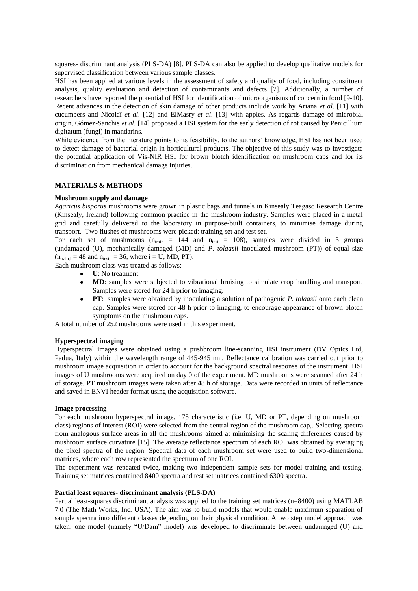squares- discriminant analysis (PLS-DA) [8]. PLS-DA can also be applied to develop qualitative models for supervised classification between various sample classes.

HSI has been applied at various levels in the assessment of safety and quality of food, including constituent analysis, quality evaluation and detection of contaminants and defects [7]. Additionally, a number of researchers have reported the potential of HSI for identification of microorganisms of concern in food [9-10]. Recent advances in the detection of skin damage of other products include work by Ariana *et al*. [11] with cucumbers and Nicolaï *et al*. [12] and ElMasry *et al*. [13] with apples. As regards damage of microbial origin, Gómez-Sanchis *et al*. [14] proposed a HSI system for the early detection of rot caused by Penicillium digitatum (fungi) in mandarins.

While evidence from the literature points to its feasibility, to the authors' knowledge, HSI has not been used to detect damage of bacterial origin in horticultural products. The objective of this study was to investigate the potential application of Vis-NIR HSI for brown blotch identification on mushroom caps and for its discrimination from mechanical damage injuries.

#### **MATERIALS & METHODS**

#### **Mushroom supply and damage**

*Agaricus bisporus* mushrooms were grown in plastic bags and tunnels in Kinsealy Teagasc Research Centre (Kinsealy, Ireland) following common practice in the mushroom industry. Samples were placed in a metal grid and carefully delivered to the laboratory in purpose-built containers, to minimise damage during transport. Two flushes of mushrooms were picked: training set and test set.

For each set of mushrooms ( $n_{train} = 144$  and  $n_{test} = 108$ ), samples were divided in 3 groups (undamaged (U), mechanically damaged (MD) and *P. tolaasii* inoculated mushroom (PT)) of equal size  $(n<sub>train.i</sub> = 48$  and  $n<sub>test.i</sub> = 36$ , where  $i = U, MD, PT$ .

Each mushroom class was treated as follows:

- **U**: No treatment.
- **MD**: samples were subjected to vibrational bruising to simulate crop handling and transport. Samples were stored for 24 h prior to imaging.
- **PT**: samples were obtained by inoculating a solution of pathogenic *P. tolaasii* onto each clean cap. Samples were stored for 48 h prior to imaging, to encourage appearance of brown blotch symptoms on the mushroom caps.

A total number of 252 mushrooms were used in this experiment.

#### **Hyperspectral imaging**

Hyperspectral images were obtained using a pushbroom line-scanning HSI instrument (DV Optics Ltd, Padua, Italy) within the wavelength range of 445-945 nm. Reflectance calibration was carried out prior to mushroom image acquisition in order to account for the background spectral response of the instrument. HSI images of U mushrooms were acquired on day 0 of the experiment. MD mushrooms were scanned after 24 h of storage. PT mushroom images were taken after 48 h of storage. Data were recorded in units of reflectance and saved in ENVI header format using the acquisition software.

#### **Image processing**

For each mushroom hyperspectral image, 175 characteristic (i.e. U, MD or PT, depending on mushroom class) regions of interest (ROI) were selected from the central region of the mushroom cap,. Selecting spectra from analogous surface areas in all the mushrooms aimed at minimising the scaling differences caused by mushroom surface curvature [15]. The average reflectance spectrum of each ROI was obtained by averaging the pixel spectra of the region. Spectral data of each mushroom set were used to build two-dimensional matrices, where each row represented the spectrum of one ROI.

The experiment was repeated twice, making two independent sample sets for model training and testing. Training set matrices contained 8400 spectra and test set matrices contained 6300 spectra.

#### **Partial least squares- discriminant analysis (PLS-DA)**

Partial least-squares discriminant analysis was applied to the training set matrices (n=8400) using MATLAB 7.0 (The Math Works, Inc. USA). The aim was to build models that would enable maximum separation of sample spectra into different classes depending on their physical condition. A two step model approach was taken: one model (namely "U/Dam" model) was developed to discriminate between undamaged (U) and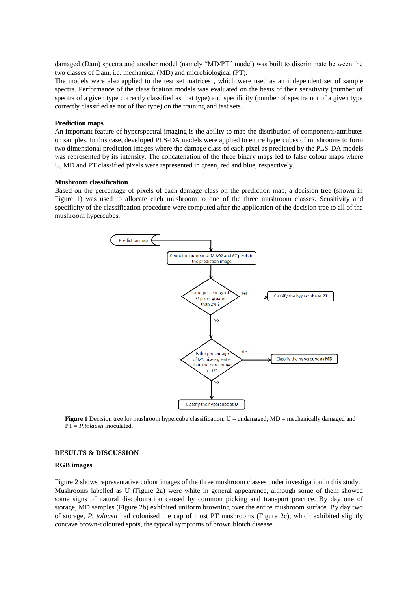damaged (Dam) spectra and another model (namely "MD/PT" model) was built to discriminate between the two classes of Dam, i.e. mechanical (MD) and microbiological (PT).

The models were also applied to the test set matrices , which were used as an independent set of sample spectra. Performance of the classification models was evaluated on the basis of their sensitivity (number of spectra of a given type correctly classified as that type) and specificity (number of spectra not of a given type correctly classified as not of that type) on the training and test sets.

#### **Prediction maps**

An important feature of hyperspectral imaging is the ability to map the distribution of components/attributes on samples. In this case, developed PLS-DA models were applied to entire hypercubes of mushrooms to form two dimensional prediction images where the damage class of each pixel as predicted by the PLS-DA models was represented by its intensity. The concatenation of the three binary maps led to false colour maps where U, MD and PT classified pixels were represented in green, red and blue, respectively.

#### **Mushroom classification**

Based on the percentage of pixels of each damage class on the prediction map, a decision tree (shown in Figure 1) was used to allocate each mushroom to one of the three mushroom classes. Sensitivity and specificity of the classification procedure were computed after the application of the decision tree to all of the mushroom hypercubes.



**Figure 1** Decision tree for mushroom hypercube classification. U = undamaged; MD = mechanically damaged and PT = *P.tolaasii* inoculated.

#### **RESULTS & DISCUSSION**

#### **RGB images**

Figure 2 shows representative colour images of the three mushroom classes under investigation in this study. Mushrooms labelled as U (Figure 2a) were white in general appearance, although some of them showed some signs of natural discolouration caused by common picking and transport practice. By day one of storage, MD samples (Figure 2b) exhibited uniform browning over the entire mushroom surface. By day two of storage, *P. tolaasii* had colonised the cap of most PT mushrooms (Figure 2c), which exhibited slightly concave brown-coloured spots, the typical symptoms of brown blotch disease.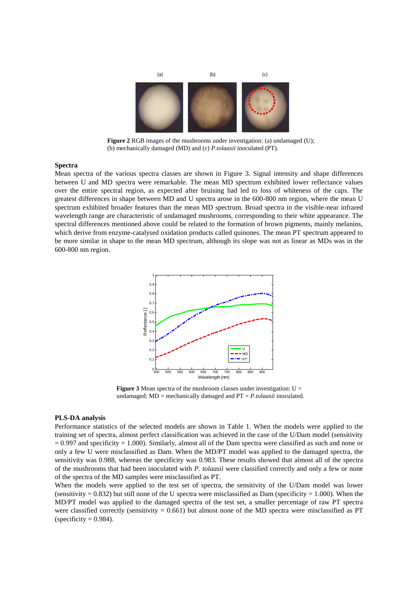

**Figure 2** RGB images of the mushrooms under investigation: (a) undamaged (U); (b) mechanically damaged (MD) and (c) *P.tolaasii* inoculated (PT).

#### **Spectra**

Mean spectra of the various spectra classes are shown in Figure 3. Signal intensity and shape differences between U and MD spectra were remarkable. The mean MD spectrum exhibited lower reflectance values over the entire spectral region, as expected after bruising had led to loss of whiteness of the caps. The greatest differences in shape between MD and U spectra arose in the 600-800 nm region, where the mean U spectrum exhibited broader features than the mean MD spectrum. Broad spectra in the visible-near infrared wavelength range are characteristic of undamaged mushrooms, corresponding to their white appearance. The spectral differences mentioned above could be related to the formation of brown pigments, mainly melanins, which derive from enzyme-catalysed oxidation products called quinones. The mean PT spectrum appeared to be more similar in shape to the mean MD spectrum, although its slope was not as linear as MDs was in the 600-800 nm region.



**Figure 3** Mean spectra of the mushroom classes under investigation:  $U =$ undamaged; MD = mechanically damaged and PT = *P.tolaasii* inoculated.

#### **PLS-DA analysis**

Performance statistics of the selected models are shown in Table 1. When the models were applied to the training set of spectra, almost perfect classification was achieved in the case of the U/Dam model (sensitivity  $= 0.997$  and specificity  $= 1.000$ ). Similarly, almost all of the Dam spectra were classified as such and none or only a few U were misclassified as Dam. When the MD/PT model was applied to the damaged spectra, the sensitivity was 0.988, whereas the specificity was 0.983. These results showed that almost all of the spectra of the mushrooms that had been inoculated with *P. tolaasii* were classified correctly and only a few or none of the spectra of the MD samples were misclassified as PT.

When the models were applied to the test set of spectra, the sensitivity of the U/Dam model was lower (sensitivity  $= 0.832$ ) but still none of the U spectra were misclassified as Dam (specificity  $= 1.000$ ). When the MD/PT model was applied to the damaged spectra of the test set, a smaller percentage of raw PT spectra were classified correctly (sensitivity  $= 0.661$ ) but almost none of the MD spectra were misclassified as PT (specificity  $= 0.984$ ).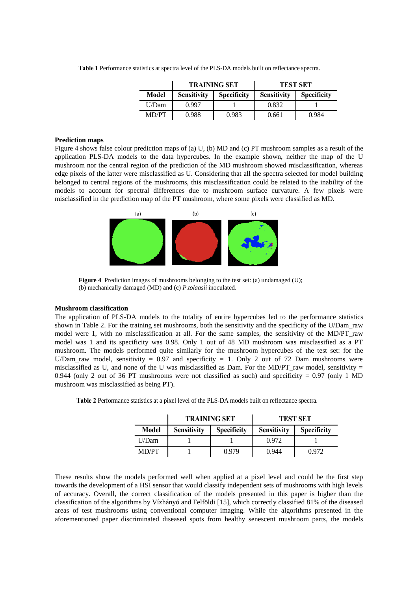Table 1 Performance statistics at spectra level of the PLS-DA models built on reflectance spectra.

|       | <b>TRAINING SET</b> |                    | <b>TEST SET</b>    |                    |
|-------|---------------------|--------------------|--------------------|--------------------|
| Model | <b>Sensitivity</b>  | <b>Specificity</b> | <b>Sensitivity</b> | <b>Specificity</b> |
| U/Dam | 0.997               |                    | 0.832              |                    |
| MD/PT | 0.988               | 0.983              | 0.661              | 0.984              |

#### **Prediction maps**

Figure 4 shows false colour prediction maps of (a) U, (b) MD and (c) PT mushroom samples as a result of the application PLS-DA models to the data hypercubes. In the example shown, neither the map of the U mushroom nor the central region of the prediction of the MD mushroom showed misclassification, whereas edge pixels of the latter were misclassified as U. Considering that all the spectra selected for model building belonged to central regions of the mushrooms, this misclassification could be related to the inability of the models to account for spectral differences due to mushroom surface curvature. A few pixels were misclassified in the prediction map of the PT mushroom, where some pixels were classified as MD.



**Figure 4** Prediction images of mushrooms belonging to the test set: (a) undamaged (U); (b) mechanically damaged (MD) and (c) *P.tolaasii* inoculated.

#### **Mushroom classification**

The application of PLS-DA models to the totality of entire hypercubes led to the performance statistics shown in Table 2. For the training set mushrooms, both the sensitivity and the specificity of the U/Dam\_raw model were 1, with no misclassification at all. For the same samples, the sensitivity of the MD/PT\_raw model was 1 and its specificity was 0.98. Only 1 out of 48 MD mushroom was misclassified as a PT mushroom. The models performed quite similarly for the mushroom hypercubes of the test set: for the U/Dam\_raw model, sensitivity =  $0.97$  and specificity = 1. Only 2 out of 72 Dam mushrooms were misclassified as U, and none of the U was misclassified as Dam. For the MD/PT\_raw model, sensitivity  $=$ 0.944 (only 2 out of 36 PT mushrooms were not classified as such) and specificity =  $0.97$  (only 1 MD) mushroom was misclassified as being PT).

|              | <b>TRAINING SET</b> |                    | <b>TEST SET</b>    |                    |
|--------------|---------------------|--------------------|--------------------|--------------------|
| <b>Model</b> | <b>Sensitivity</b>  | <b>Specificity</b> | <b>Sensitivity</b> | <b>Specificity</b> |
| U/Dam        |                     |                    | 0.972              |                    |
| MD/PT        |                     | 0.979              | 0.944              | 0.972              |

**Table 2** Performance statistics at a pixel level of the PLS-DA models built on reflectance spectra.

These results show the models performed well when applied at a pixel level and could be the first step towards the development of a HSI sensor that would classify independent sets of mushrooms with high levels of accuracy. Overall, the correct classification of the models presented in this paper is higher than the classification of the algorithms by Vízhányó and Felföldi [15], which correctly classified 81% of the diseased areas of test mushrooms using conventional computer imaging. While the algorithms presented in the aforementioned paper discriminated diseased spots from healthy senescent mushroom parts, the models